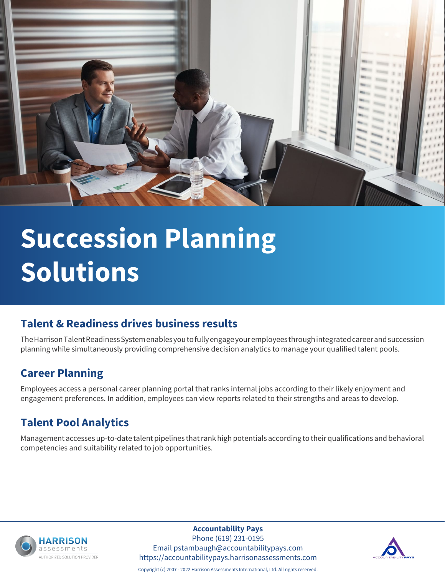

# **Succession Planning Solutions**

### **Talent & Readiness drives business results**

The Harrison Talent Readiness System enables you to fully engage your employees through integrated career and succession planning while simultaneously providing comprehensive decision analytics to manage your qualified talent pools.

### **Career Planning**

Employees access a personal career planning portal that ranks internal jobs according to their likely enjoyment and engagement preferences. In addition, employees can view reports related to their strengths and areas to develop.

### **Talent Pool Analytics**

Management accesses up-to-date talent pipelines that rank high potentials according to their qualifications and behavioral competencies and suitability related to job opportunities.



**Accountability Pays**

Phone (619) 231-0195 Email pstambaugh@accountabilitypays.com https://accountabilitypays.harrisonassessments.com



Copyright (c) 2007 - 2022 Harrison Assessments International, Ltd. All rights reserved.